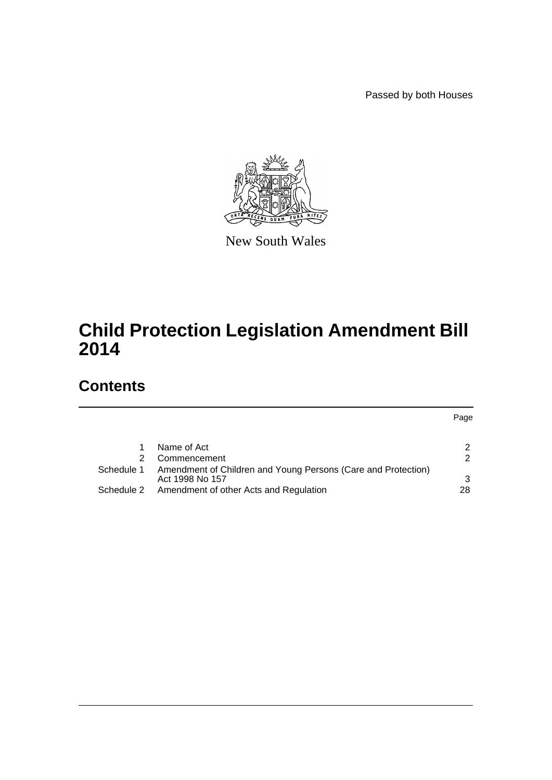Passed by both Houses

Page



New South Wales

# **Child Protection Legislation Amendment Bill 2014**

# **Contents**

|            | Name of Act                                                                      | 2   |
|------------|----------------------------------------------------------------------------------|-----|
| 2.         | Commencement                                                                     | 2   |
| Schedule 1 | Amendment of Children and Young Persons (Care and Protection)<br>Act 1998 No 157 | 3   |
|            | Schedule 2 Amendment of other Acts and Regulation                                | 28. |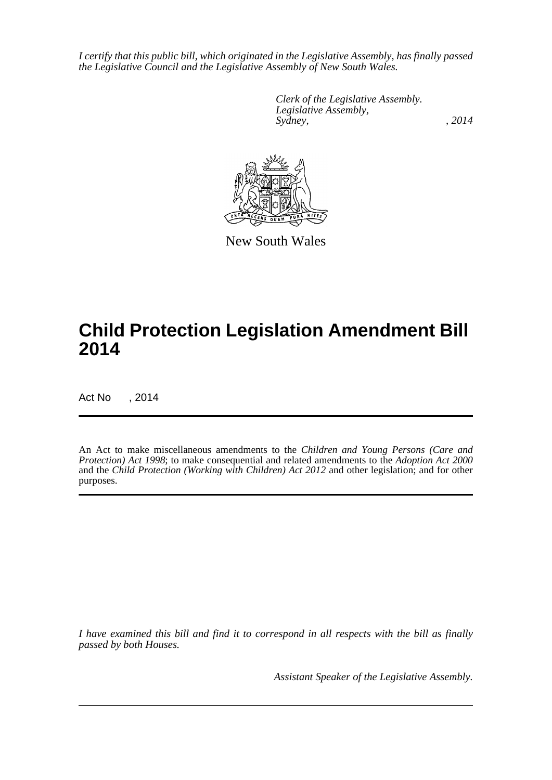*I certify that this public bill, which originated in the Legislative Assembly, has finally passed the Legislative Council and the Legislative Assembly of New South Wales.*

> *Clerk of the Legislative Assembly. Legislative Assembly, Sydney,* , 2014



New South Wales

# **Child Protection Legislation Amendment Bill 2014**

Act No , 2014

An Act to make miscellaneous amendments to the *Children and Young Persons (Care and Protection) Act 1998*; to make consequential and related amendments to the *Adoption Act 2000* and the *Child Protection (Working with Children) Act 2012* and other legislation; and for other purposes.

*I have examined this bill and find it to correspond in all respects with the bill as finally passed by both Houses.*

*Assistant Speaker of the Legislative Assembly.*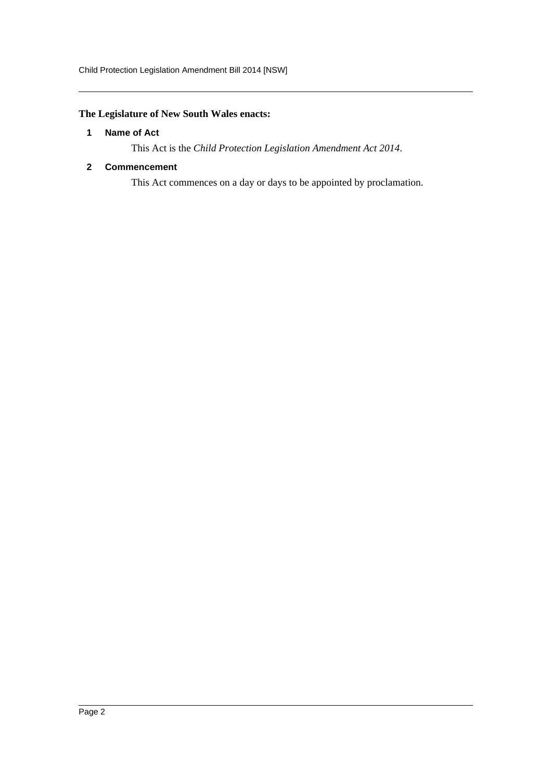# <span id="page-2-0"></span>**The Legislature of New South Wales enacts:**

#### **1 Name of Act**

This Act is the *Child Protection Legislation Amendment Act 2014*.

### <span id="page-2-1"></span>**2 Commencement**

This Act commences on a day or days to be appointed by proclamation.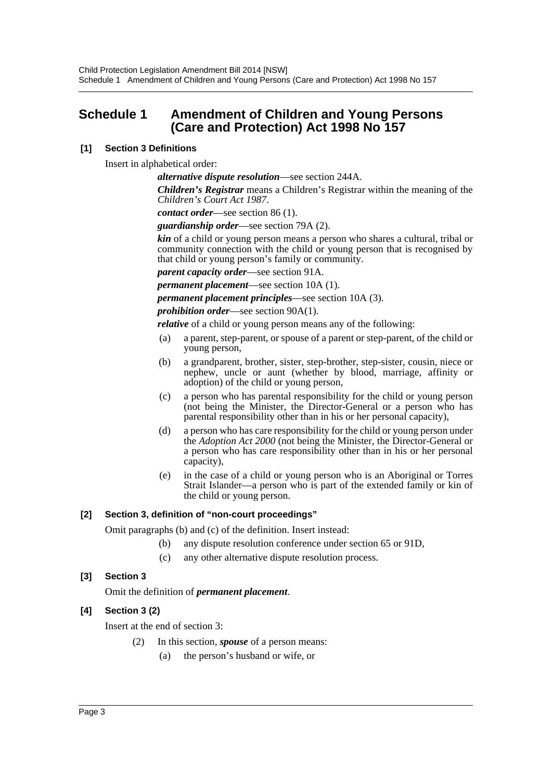# <span id="page-3-0"></span>**Schedule 1 Amendment of Children and Young Persons (Care and Protection) Act 1998 No 157**

# **[1] Section 3 Definitions**

Insert in alphabetical order:

*alternative dispute resolution*—see section 244A.

*Children's Registrar* means a Children's Registrar within the meaning of the *Children's Court Act 1987*.

*contact order*—see section 86 (1).

*guardianship order*—see section 79A (2).

*kin* of a child or young person means a person who shares a cultural, tribal or community connection with the child or young person that is recognised by that child or young person's family or community.

*parent capacity order*—see section 91A.

*permanent placement*—see section 10A (1).

*permanent placement principles*—see section 10A (3).

*prohibition order*—see section 90A(1).

*relative* of a child or young person means any of the following:

- (a) a parent, step-parent, or spouse of a parent or step-parent, of the child or young person,
- (b) a grandparent, brother, sister, step-brother, step-sister, cousin, niece or nephew, uncle or aunt (whether by blood, marriage, affinity or adoption) of the child or young person,
- (c) a person who has parental responsibility for the child or young person (not being the Minister, the Director-General or a person who has parental responsibility other than in his or her personal capacity),
- (d) a person who has care responsibility for the child or young person under the *Adoption Act 2000* (not being the Minister, the Director-General or a person who has care responsibility other than in his or her personal capacity),
- (e) in the case of a child or young person who is an Aboriginal or Torres Strait Islander—a person who is part of the extended family or kin of the child or young person.

# **[2] Section 3, definition of "non-court proceedings"**

Omit paragraphs (b) and (c) of the definition. Insert instead:

- (b) any dispute resolution conference under section 65 or 91D,
- (c) any other alternative dispute resolution process.

# **[3] Section 3**

Omit the definition of *permanent placement*.

# **[4] Section 3 (2)**

Insert at the end of section 3:

- (2) In this section, *spouse* of a person means:
	- (a) the person's husband or wife, or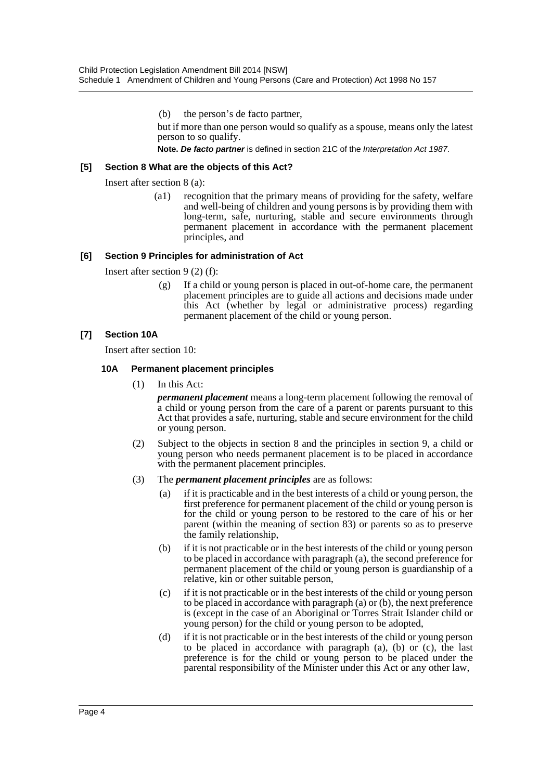(b) the person's de facto partner,

but if more than one person would so qualify as a spouse, means only the latest person to so qualify.

**Note.** *De facto partner* is defined in section 21C of the *Interpretation Act 1987*.

#### **[5] Section 8 What are the objects of this Act?**

Insert after section 8 (a):

(a1) recognition that the primary means of providing for the safety, welfare and well-being of children and young persons is by providing them with long-term, safe, nurturing, stable and secure environments through permanent placement in accordance with the permanent placement principles, and

#### **[6] Section 9 Principles for administration of Act**

Insert after section 9 (2) (f):

(g) If a child or young person is placed in out-of-home care, the permanent placement principles are to guide all actions and decisions made under this Act (whether by legal or administrative process) regarding permanent placement of the child or young person.

#### **[7] Section 10A**

Insert after section 10:

#### **10A Permanent placement principles**

(1) In this Act:

*permanent placement* means a long-term placement following the removal of a child or young person from the care of a parent or parents pursuant to this Act that provides a safe, nurturing, stable and secure environment for the child or young person.

- (2) Subject to the objects in section 8 and the principles in section 9, a child or young person who needs permanent placement is to be placed in accordance with the permanent placement principles.
- (3) The *permanent placement principles* are as follows:
	- (a) if it is practicable and in the best interests of a child or young person, the first preference for permanent placement of the child or young person is for the child or young person to be restored to the care of his or her parent (within the meaning of section 83) or parents so as to preserve the family relationship,
	- (b) if it is not practicable or in the best interests of the child or young person to be placed in accordance with paragraph (a), the second preference for permanent placement of the child or young person is guardianship of a relative, kin or other suitable person,
	- (c) if it is not practicable or in the best interests of the child or young person to be placed in accordance with paragraph (a) or (b), the next preference is (except in the case of an Aboriginal or Torres Strait Islander child or young person) for the child or young person to be adopted,
	- (d) if it is not practicable or in the best interests of the child or young person to be placed in accordance with paragraph (a), (b) or (c), the last preference is for the child or young person to be placed under the parental responsibility of the Minister under this Act or any other law,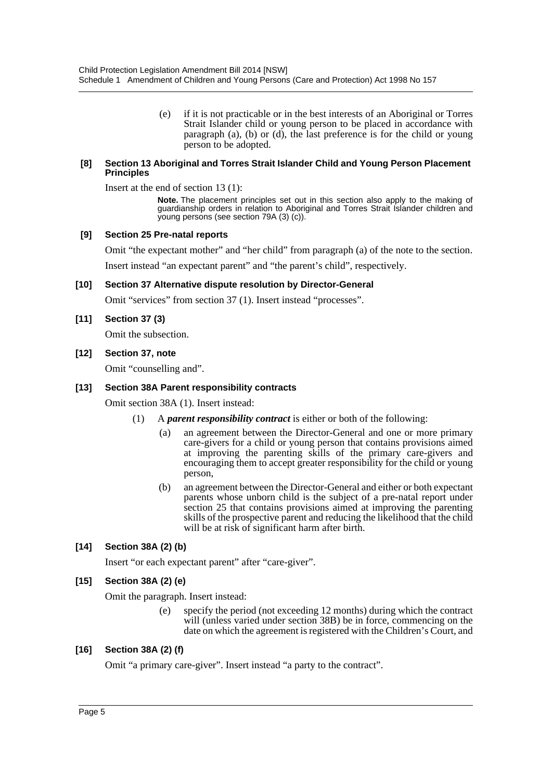(e) if it is not practicable or in the best interests of an Aboriginal or Torres Strait Islander child or young person to be placed in accordance with paragraph (a), (b) or (d), the last preference is for the child or young person to be adopted.

#### **[8] Section 13 Aboriginal and Torres Strait Islander Child and Young Person Placement Principles**

Insert at the end of section 13 (1):

**Note.** The placement principles set out in this section also apply to the making of guardianship orders in relation to Aboriginal and Torres Strait Islander children and young persons (see section 79A (3) (c)).

#### **[9] Section 25 Pre-natal reports**

Omit "the expectant mother" and "her child" from paragraph (a) of the note to the section.

Insert instead "an expectant parent" and "the parent's child", respectively.

#### **[10] Section 37 Alternative dispute resolution by Director-General**

Omit "services" from section 37 (1). Insert instead "processes".

#### **[11] Section 37 (3)**

Omit the subsection.

#### **[12] Section 37, note**

Omit "counselling and".

#### **[13] Section 38A Parent responsibility contracts**

Omit section 38A (1). Insert instead:

- (1) A *parent responsibility contract* is either or both of the following:
	- (a) an agreement between the Director-General and one or more primary care-givers for a child or young person that contains provisions aimed at improving the parenting skills of the primary care-givers and encouraging them to accept greater responsibility for the child or young person,
	- (b) an agreement between the Director-General and either or both expectant parents whose unborn child is the subject of a pre-natal report under section 25 that contains provisions aimed at improving the parenting skills of the prospective parent and reducing the likelihood that the child will be at risk of significant harm after birth.

# **[14] Section 38A (2) (b)**

Insert "or each expectant parent" after "care-giver".

# **[15] Section 38A (2) (e)**

Omit the paragraph. Insert instead:

(e) specify the period (not exceeding 12 months) during which the contract will (unless varied under section 38B) be in force, commencing on the date on which the agreement is registered with the Children's Court, and

#### **[16] Section 38A (2) (f)**

Omit "a primary care-giver". Insert instead "a party to the contract".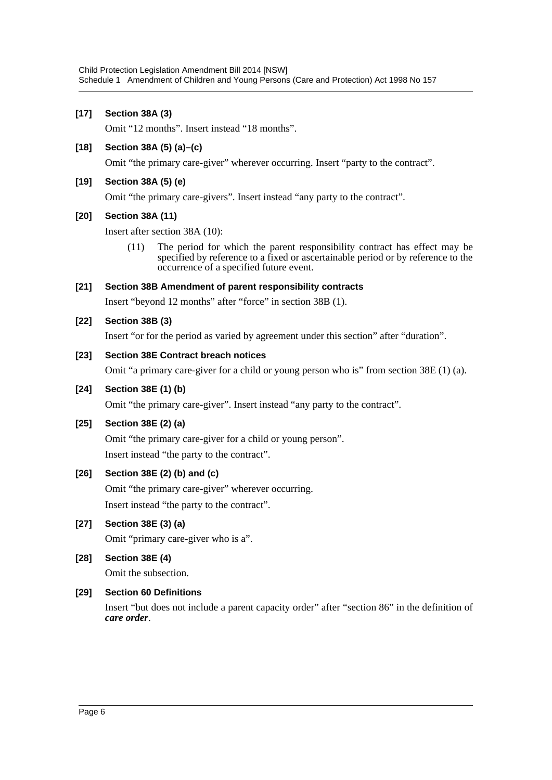### **[17] Section 38A (3)**

Omit "12 months". Insert instead "18 months".

#### **[18] Section 38A (5) (a)–(c)**

Omit "the primary care-giver" wherever occurring. Insert "party to the contract".

### **[19] Section 38A (5) (e)**

Omit "the primary care-givers". Insert instead "any party to the contract".

#### **[20] Section 38A (11)**

Insert after section 38A (10):

(11) The period for which the parent responsibility contract has effect may be specified by reference to a fixed or ascertainable period or by reference to the occurrence of a specified future event.

#### **[21] Section 38B Amendment of parent responsibility contracts**

Insert "beyond 12 months" after "force" in section 38B (1).

# **[22] Section 38B (3)**

Insert "or for the period as varied by agreement under this section" after "duration".

#### **[23] Section 38E Contract breach notices**

Omit "a primary care-giver for a child or young person who is" from section 38E (1) (a).

#### **[24] Section 38E (1) (b)**

Omit "the primary care-giver". Insert instead "any party to the contract".

#### **[25] Section 38E (2) (a)**

Omit "the primary care-giver for a child or young person". Insert instead "the party to the contract".

# **[26] Section 38E (2) (b) and (c)**

Omit "the primary care-giver" wherever occurring. Insert instead "the party to the contract".

# **[27] Section 38E (3) (a)**

Omit "primary care-giver who is a".

**[28] Section 38E (4)**

Omit the subsection.

# **[29] Section 60 Definitions**

Insert "but does not include a parent capacity order" after "section 86" in the definition of *care order*.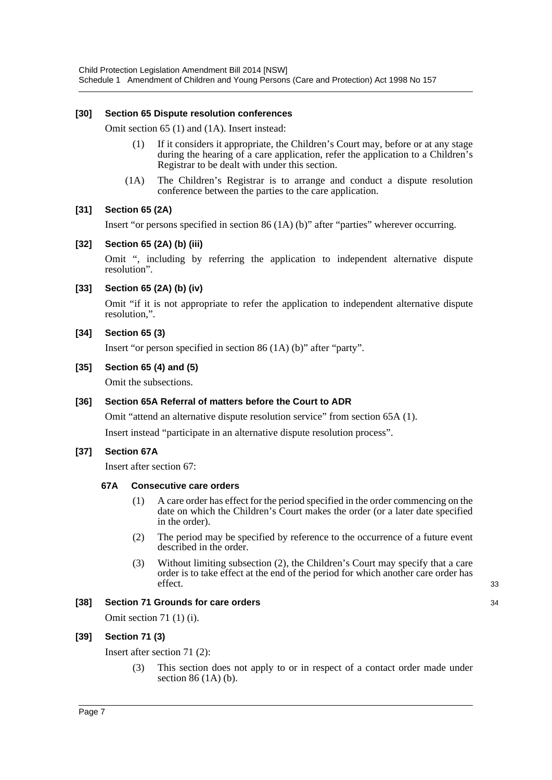#### **[30] Section 65 Dispute resolution conferences**

Omit section 65 (1) and (1A). Insert instead:

- (1) If it considers it appropriate, the Children's Court may, before or at any stage during the hearing of a care application, refer the application to a Children's Registrar to be dealt with under this section.
- (1A) The Children's Registrar is to arrange and conduct a dispute resolution conference between the parties to the care application.

# **[31] Section 65 (2A)**

Insert "or persons specified in section 86 (1A) (b)" after "parties" wherever occurring.

#### **[32] Section 65 (2A) (b) (iii)**

Omit ", including by referring the application to independent alternative dispute resolution".

#### **[33] Section 65 (2A) (b) (iv)**

Omit "if it is not appropriate to refer the application to independent alternative dispute resolution,".

#### **[34] Section 65 (3)**

Insert "or person specified in section 86 (1A) (b)" after "party".

#### **[35] Section 65 (4) and (5)**

Omit the subsections.

#### **[36] Section 65A Referral of matters before the Court to ADR**

Omit "attend an alternative dispute resolution service" from section 65A (1). Insert instead "participate in an alternative dispute resolution process".

# **[37] Section 67A**

Insert after section 67:

#### **67A Consecutive care orders**

- (1) A care order has effect for the period specified in the order commencing on the date on which the Children's Court makes the order (or a later date specified in the order).
- (2) The period may be specified by reference to the occurrence of a future event described in the order.
- (3) Without limiting subsection (2), the Children's Court may specify that a care order is to take effect at the end of the period for which another care order has effect.

33

34

#### **[38] Section 71 Grounds for care orders**

Omit section 71 (1) (i).

# **[39] Section 71 (3)**

Insert after section 71 (2):

(3) This section does not apply to or in respect of a contact order made under section 86 (1A) (b).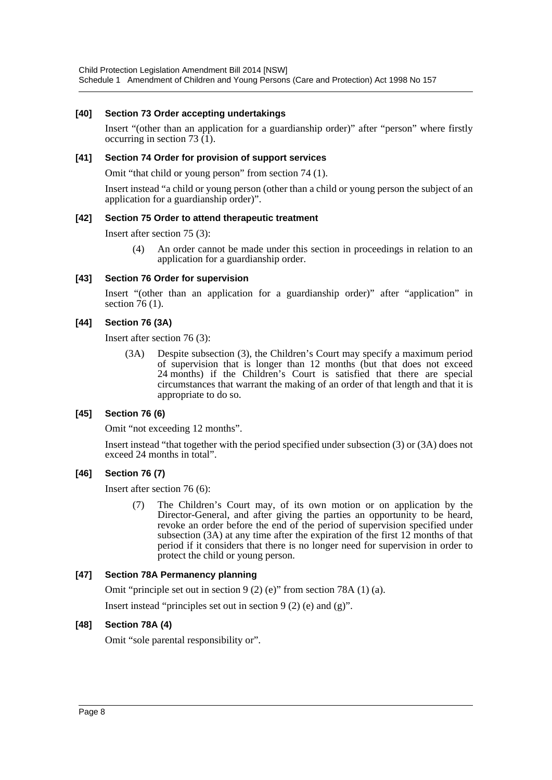#### **[40] Section 73 Order accepting undertakings**

Insert "(other than an application for a guardianship order)" after "person" where firstly occurring in section 73  $(I)$ .

#### **[41] Section 74 Order for provision of support services**

Omit "that child or young person" from section 74 (1).

Insert instead "a child or young person (other than a child or young person the subject of an application for a guardianship order)".

#### **[42] Section 75 Order to attend therapeutic treatment**

Insert after section 75 (3):

(4) An order cannot be made under this section in proceedings in relation to an application for a guardianship order.

#### **[43] Section 76 Order for supervision**

Insert "(other than an application for a guardianship order)" after "application" in section 76 (1).

# **[44] Section 76 (3A)**

Insert after section 76 (3):

(3A) Despite subsection (3), the Children's Court may specify a maximum period of supervision that is longer than 12 months (but that does not exceed 24 months) if the Children's Court is satisfied that there are special circumstances that warrant the making of an order of that length and that it is appropriate to do so.

# **[45] Section 76 (6)**

Omit "not exceeding 12 months".

Insert instead "that together with the period specified under subsection (3) or (3A) does not exceed 24 months in total".

# **[46] Section 76 (7)**

Insert after section 76 (6):

(7) The Children's Court may, of its own motion or on application by the Director-General, and after giving the parties an opportunity to be heard, revoke an order before the end of the period of supervision specified under subsection (3A) at any time after the expiration of the first 12 months of that period if it considers that there is no longer need for supervision in order to protect the child or young person.

# **[47] Section 78A Permanency planning**

Omit "principle set out in section 9 (2) (e)" from section 78A (1) (a).

Insert instead "principles set out in section  $9(2)$  (e) and (g)".

# **[48] Section 78A (4)**

Omit "sole parental responsibility or".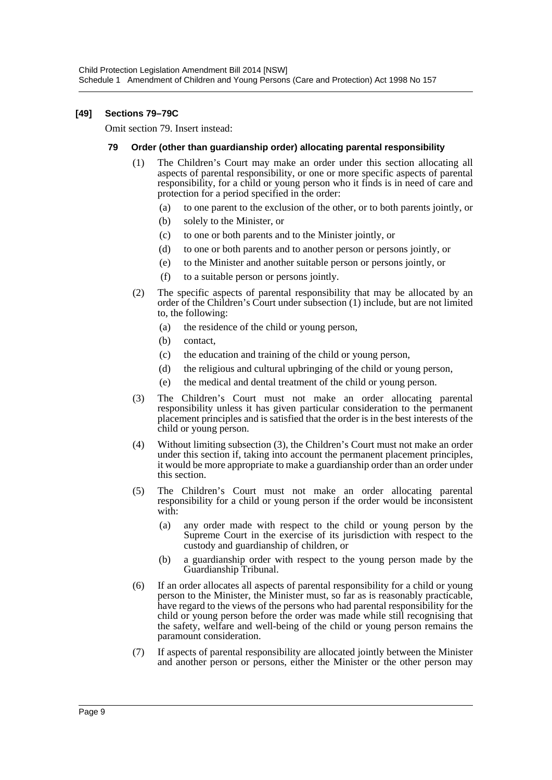#### **[49] Sections 79–79C**

Omit section 79. Insert instead:

#### **79 Order (other than guardianship order) allocating parental responsibility**

- (1) The Children's Court may make an order under this section allocating all aspects of parental responsibility, or one or more specific aspects of parental responsibility, for a child or young person who it finds is in need of care and protection for a period specified in the order:
	- (a) to one parent to the exclusion of the other, or to both parents jointly, or
	- (b) solely to the Minister, or
	- (c) to one or both parents and to the Minister jointly, or
	- (d) to one or both parents and to another person or persons jointly, or
	- (e) to the Minister and another suitable person or persons jointly, or
	- (f) to a suitable person or persons jointly.
- (2) The specific aspects of parental responsibility that may be allocated by an order of the Children's Court under subsection (1) include, but are not limited to, the following:
	- (a) the residence of the child or young person,
	- (b) contact,
	- (c) the education and training of the child or young person,
	- (d) the religious and cultural upbringing of the child or young person,
	- (e) the medical and dental treatment of the child or young person.
- (3) The Children's Court must not make an order allocating parental responsibility unless it has given particular consideration to the permanent placement principles and is satisfied that the order is in the best interests of the child or young person.
- (4) Without limiting subsection (3), the Children's Court must not make an order under this section if, taking into account the permanent placement principles, it would be more appropriate to make a guardianship order than an order under this section.
- (5) The Children's Court must not make an order allocating parental responsibility for a child or young person if the order would be inconsistent with:
	- (a) any order made with respect to the child or young person by the Supreme Court in the exercise of its jurisdiction with respect to the custody and guardianship of children, or
	- (b) a guardianship order with respect to the young person made by the Guardianship Tribunal.
- (6) If an order allocates all aspects of parental responsibility for a child or young person to the Minister, the Minister must, so far as is reasonably practicable, have regard to the views of the persons who had parental responsibility for the child or young person before the order was made while still recognising that the safety, welfare and well-being of the child or young person remains the paramount consideration.
- (7) If aspects of parental responsibility are allocated jointly between the Minister and another person or persons, either the Minister or the other person may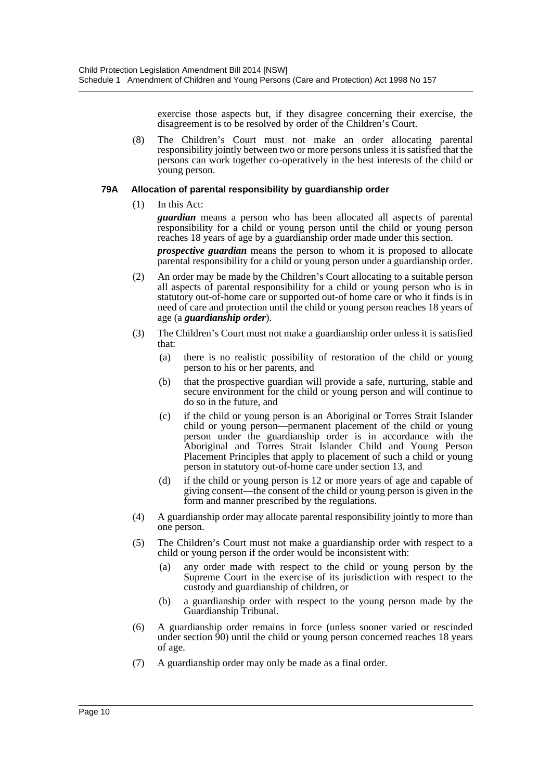exercise those aspects but, if they disagree concerning their exercise, the disagreement is to be resolved by order of the Children's Court.

(8) The Children's Court must not make an order allocating parental responsibility jointly between two or more persons unless it is satisfied that the persons can work together co-operatively in the best interests of the child or young person.

#### **79A Allocation of parental responsibility by guardianship order**

(1) In this Act:

*guardian* means a person who has been allocated all aspects of parental responsibility for a child or young person until the child or young person reaches 18 years of age by a guardianship order made under this section.

*prospective guardian* means the person to whom it is proposed to allocate parental responsibility for a child or young person under a guardianship order.

- (2) An order may be made by the Children's Court allocating to a suitable person all aspects of parental responsibility for a child or young person who is in statutory out-of-home care or supported out-of home care or who it finds is in need of care and protection until the child or young person reaches 18 years of age (a *guardianship order*).
- (3) The Children's Court must not make a guardianship order unless it is satisfied that:
	- (a) there is no realistic possibility of restoration of the child or young person to his or her parents, and
	- (b) that the prospective guardian will provide a safe, nurturing, stable and secure environment for the child or young person and will continue to do so in the future, and
	- (c) if the child or young person is an Aboriginal or Torres Strait Islander child or young person—permanent placement of the child or young person under the guardianship order is in accordance with the Aboriginal and Torres Strait Islander Child and Young Person Placement Principles that apply to placement of such a child or young person in statutory out-of-home care under section 13, and
	- (d) if the child or young person is 12 or more years of age and capable of giving consent—the consent of the child or young person is given in the form and manner prescribed by the regulations.
- (4) A guardianship order may allocate parental responsibility jointly to more than one person.
- (5) The Children's Court must not make a guardianship order with respect to a child or young person if the order would be inconsistent with:
	- (a) any order made with respect to the child or young person by the Supreme Court in the exercise of its jurisdiction with respect to the custody and guardianship of children, or
	- (b) a guardianship order with respect to the young person made by the Guardianship Tribunal.
- (6) A guardianship order remains in force (unless sooner varied or rescinded under section 90) until the child or young person concerned reaches 18 years of age.
- (7) A guardianship order may only be made as a final order.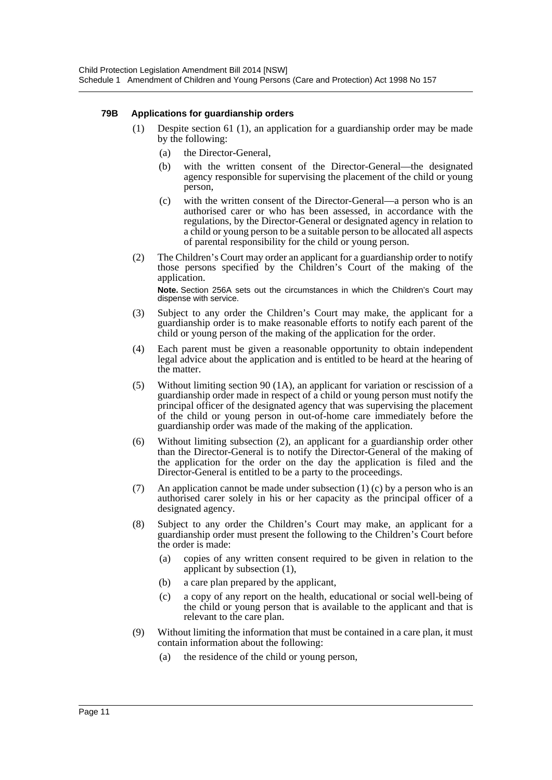#### **79B Applications for guardianship orders**

- (1) Despite section 61 (1), an application for a guardianship order may be made by the following:
	- (a) the Director-General,
	- (b) with the written consent of the Director-General—the designated agency responsible for supervising the placement of the child or young person,
	- (c) with the written consent of the Director-General—a person who is an authorised carer or who has been assessed, in accordance with the regulations, by the Director-General or designated agency in relation to a child or young person to be a suitable person to be allocated all aspects of parental responsibility for the child or young person.
- (2) The Children's Court may order an applicant for a guardianship order to notify those persons specified by the Children's Court of the making of the application. **Note.** Section 256A sets out the circumstances in which the Children's Court may dispense with service.
- (3) Subject to any order the Children's Court may make, the applicant for a guardianship order is to make reasonable efforts to notify each parent of the child or young person of the making of the application for the order.
- (4) Each parent must be given a reasonable opportunity to obtain independent legal advice about the application and is entitled to be heard at the hearing of the matter.
- (5) Without limiting section 90 (1A), an applicant for variation or rescission of a guardianship order made in respect of a child or young person must notify the principal officer of the designated agency that was supervising the placement of the child or young person in out-of-home care immediately before the guardianship order was made of the making of the application.
- (6) Without limiting subsection (2), an applicant for a guardianship order other than the Director-General is to notify the Director-General of the making of the application for the order on the day the application is filed and the Director-General is entitled to be a party to the proceedings.
- (7) An application cannot be made under subsection (1) (c) by a person who is an authorised carer solely in his or her capacity as the principal officer of a designated agency.
- (8) Subject to any order the Children's Court may make, an applicant for a guardianship order must present the following to the Children's Court before the order is made:
	- (a) copies of any written consent required to be given in relation to the applicant by subsection (1),
	- (b) a care plan prepared by the applicant,
	- (c) a copy of any report on the health, educational or social well-being of the child or young person that is available to the applicant and that is relevant to the care plan.
- (9) Without limiting the information that must be contained in a care plan, it must contain information about the following:
	- (a) the residence of the child or young person,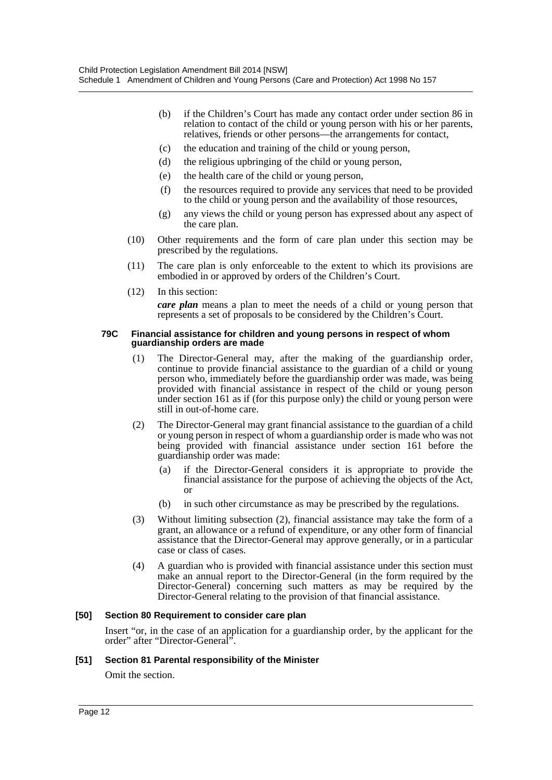- (b) if the Children's Court has made any contact order under section 86 in relation to contact of the child or young person with his or her parents, relatives, friends or other persons—the arrangements for contact,
- (c) the education and training of the child or young person,
- (d) the religious upbringing of the child or young person,
- (e) the health care of the child or young person,
- (f) the resources required to provide any services that need to be provided to the child or young person and the availability of those resources,
- (g) any views the child or young person has expressed about any aspect of the care plan.
- (10) Other requirements and the form of care plan under this section may be prescribed by the regulations.
- (11) The care plan is only enforceable to the extent to which its provisions are embodied in or approved by orders of the Children's Court.
- (12) In this section: *care plan* means a plan to meet the needs of a child or young person that represents a set of proposals to be considered by the Children's Court.

#### **79C Financial assistance for children and young persons in respect of whom guardianship orders are made**

- (1) The Director-General may, after the making of the guardianship order, continue to provide financial assistance to the guardian of a child or young person who, immediately before the guardianship order was made, was being provided with financial assistance in respect of the child or young person under section 161 as if (for this purpose only) the child or young person were still in out-of-home care.
- (2) The Director-General may grant financial assistance to the guardian of a child or young person in respect of whom a guardianship order is made who was not being provided with financial assistance under section 161 before the guardianship order was made:
	- (a) if the Director-General considers it is appropriate to provide the financial assistance for the purpose of achieving the objects of the Act, or
	- (b) in such other circumstance as may be prescribed by the regulations.
- (3) Without limiting subsection (2), financial assistance may take the form of a grant, an allowance or a refund of expenditure, or any other form of financial assistance that the Director-General may approve generally, or in a particular case or class of cases.
- (4) A guardian who is provided with financial assistance under this section must make an annual report to the Director-General (in the form required by the Director-General) concerning such matters as may be required by the Director-General relating to the provision of that financial assistance.

#### **[50] Section 80 Requirement to consider care plan**

Insert "or, in the case of an application for a guardianship order, by the applicant for the order" after "Director-General".

#### **[51] Section 81 Parental responsibility of the Minister**

Omit the section.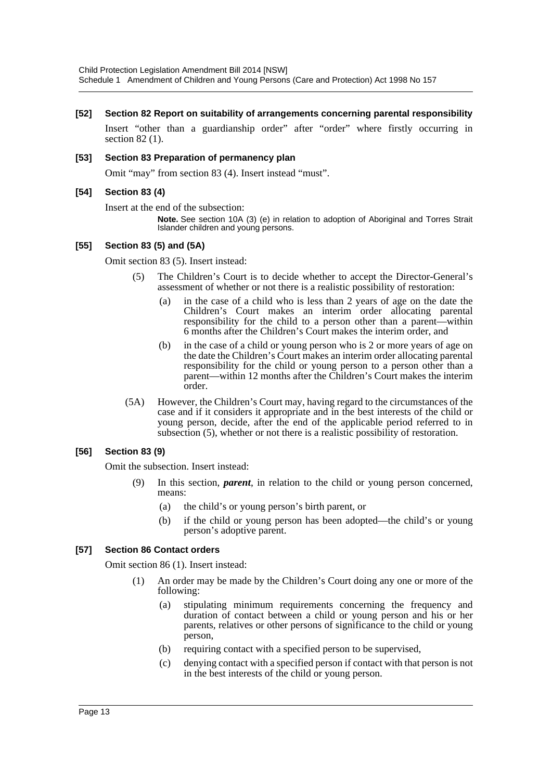#### **[52] Section 82 Report on suitability of arrangements concerning parental responsibility**

Insert "other than a guardianship order" after "order" where firstly occurring in section 82 (1).

#### **[53] Section 83 Preparation of permanency plan**

Omit "may" from section 83 (4). Insert instead "must".

#### **[54] Section 83 (4)**

Insert at the end of the subsection:

**Note.** See section 10A (3) (e) in relation to adoption of Aboriginal and Torres Strait Islander children and young persons.

#### **[55] Section 83 (5) and (5A)**

Omit section 83 (5). Insert instead:

- (5) The Children's Court is to decide whether to accept the Director-General's assessment of whether or not there is a realistic possibility of restoration:
	- (a) in the case of a child who is less than 2 years of age on the date the Children's Court makes an interim order allocating parental responsibility for the child to a person other than a parent—within 6 months after the Children's Court makes the interim order, and
	- (b) in the case of a child or young person who is 2 or more years of age on the date the Children's Court makes an interim order allocating parental responsibility for the child or young person to a person other than a parent—within 12 months after the Children's Court makes the interim order.
- (5A) However, the Children's Court may, having regard to the circumstances of the case and if it considers it appropriate and in the best interests of the child or young person, decide, after the end of the applicable period referred to in subsection (5), whether or not there is a realistic possibility of restoration.

# **[56] Section 83 (9)**

Omit the subsection. Insert instead:

- (9) In this section, *parent*, in relation to the child or young person concerned, means:
	- (a) the child's or young person's birth parent, or
	- (b) if the child or young person has been adopted—the child's or young person's adoptive parent.

#### **[57] Section 86 Contact orders**

Omit section 86 (1). Insert instead:

- (1) An order may be made by the Children's Court doing any one or more of the following:
	- (a) stipulating minimum requirements concerning the frequency and duration of contact between a child or young person and his or her parents, relatives or other persons of significance to the child or young person,
	- (b) requiring contact with a specified person to be supervised,
	- (c) denying contact with a specified person if contact with that person is not in the best interests of the child or young person.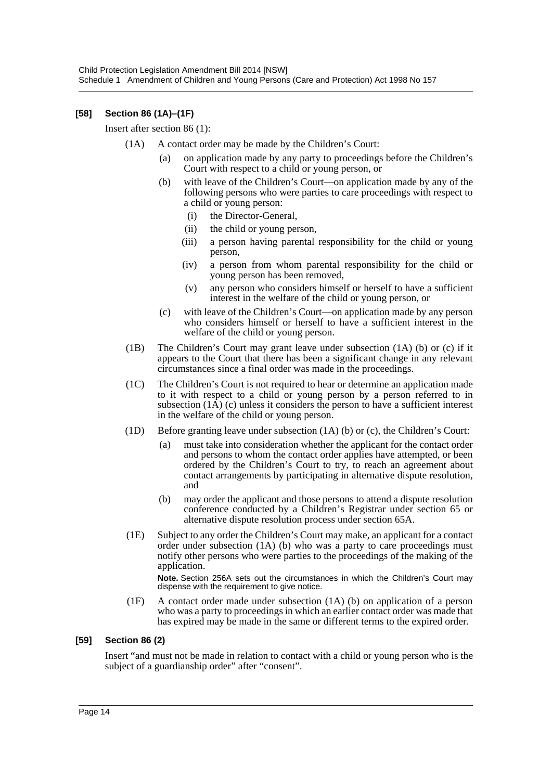# **[58] Section 86 (1A)–(1F)**

Insert after section 86 (1):

- (1A) A contact order may be made by the Children's Court:
	- (a) on application made by any party to proceedings before the Children's Court with respect to a child or young person, or
	- (b) with leave of the Children's Court—on application made by any of the following persons who were parties to care proceedings with respect to a child or young person:
		- (i) the Director-General,
		- (ii) the child or young person,
		- (iii) a person having parental responsibility for the child or young person,
		- (iv) a person from whom parental responsibility for the child or young person has been removed,
		- (v) any person who considers himself or herself to have a sufficient interest in the welfare of the child or young person, or
	- (c) with leave of the Children's Court—on application made by any person who considers himself or herself to have a sufficient interest in the welfare of the child or young person.
- (1B) The Children's Court may grant leave under subsection (1A) (b) or (c) if it appears to the Court that there has been a significant change in any relevant circumstances since a final order was made in the proceedings.
- (1C) The Children's Court is not required to hear or determine an application made to it with respect to a child or young person by a person referred to in subsection  $(1A)$  (c) unless it considers the person to have a sufficient interest in the welfare of the child or young person.
- (1D) Before granting leave under subsection (1A) (b) or (c), the Children's Court:
	- (a) must take into consideration whether the applicant for the contact order and persons to whom the contact order applies have attempted, or been ordered by the Children's Court to try, to reach an agreement about contact arrangements by participating in alternative dispute resolution, and
	- (b) may order the applicant and those persons to attend a dispute resolution conference conducted by a Children's Registrar under section 65 or alternative dispute resolution process under section 65A.
- (1E) Subject to any order the Children's Court may make, an applicant for a contact order under subsection (1A) (b) who was a party to care proceedings must notify other persons who were parties to the proceedings of the making of the application.

**Note.** Section 256A sets out the circumstances in which the Children's Court may dispense with the requirement to give notice.

(1F) A contact order made under subsection (1A) (b) on application of a person who was a party to proceedings in which an earlier contact order was made that has expired may be made in the same or different terms to the expired order.

#### **[59] Section 86 (2)**

Insert "and must not be made in relation to contact with a child or young person who is the subject of a guardianship order" after "consent".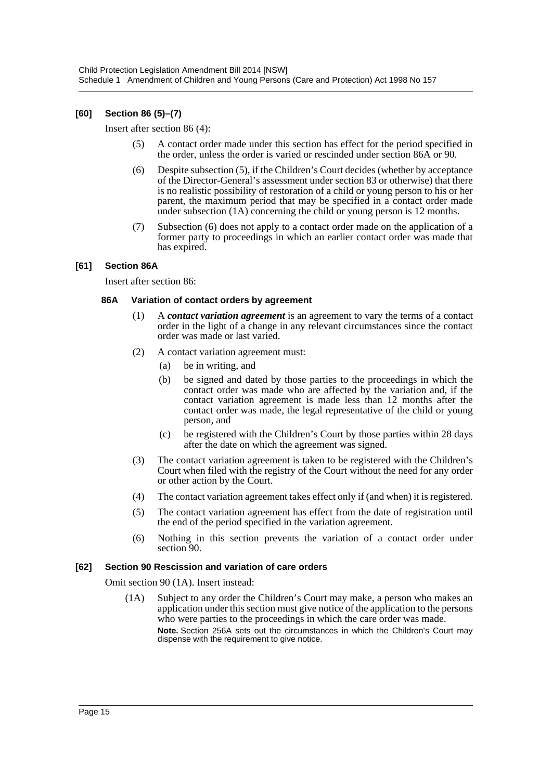# **[60] Section 86 (5)–(7)**

Insert after section 86 (4):

- (5) A contact order made under this section has effect for the period specified in the order, unless the order is varied or rescinded under section 86A or 90.
- (6) Despite subsection (5), if the Children's Court decides (whether by acceptance of the Director-General's assessment under section 83 or otherwise) that there is no realistic possibility of restoration of a child or young person to his or her parent, the maximum period that may be specified in a contact order made under subsection (1A) concerning the child or young person is 12 months.
- (7) Subsection (6) does not apply to a contact order made on the application of a former party to proceedings in which an earlier contact order was made that has expired.

#### **[61] Section 86A**

Insert after section 86:

#### **86A Variation of contact orders by agreement**

- (1) A *contact variation agreement* is an agreement to vary the terms of a contact order in the light of a change in any relevant circumstances since the contact order was made or last varied.
- (2) A contact variation agreement must:
	- (a) be in writing, and
	- (b) be signed and dated by those parties to the proceedings in which the contact order was made who are affected by the variation and, if the contact variation agreement is made less than 12 months after the contact order was made, the legal representative of the child or young person, and
	- (c) be registered with the Children's Court by those parties within 28 days after the date on which the agreement was signed.
- (3) The contact variation agreement is taken to be registered with the Children's Court when filed with the registry of the Court without the need for any order or other action by the Court.
- (4) The contact variation agreement takes effect only if (and when) it is registered.
- (5) The contact variation agreement has effect from the date of registration until the end of the period specified in the variation agreement.
- (6) Nothing in this section prevents the variation of a contact order under section 90.

#### **[62] Section 90 Rescission and variation of care orders**

Omit section 90 (1A). Insert instead:

(1A) Subject to any order the Children's Court may make, a person who makes an application under this section must give notice of the application to the persons who were parties to the proceedings in which the care order was made. **Note.** Section 256A sets out the circumstances in which the Children's Court may dispense with the requirement to give notice.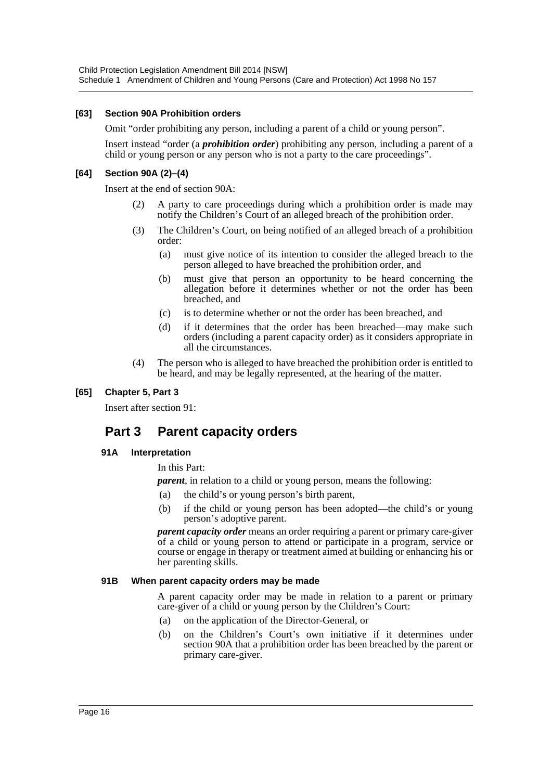#### **[63] Section 90A Prohibition orders**

Omit "order prohibiting any person, including a parent of a child or young person".

Insert instead "order (a *prohibition order*) prohibiting any person, including a parent of a child or young person or any person who is not a party to the care proceedings".

#### **[64] Section 90A (2)–(4)**

Insert at the end of section 90A:

- (2) A party to care proceedings during which a prohibition order is made may notify the Children's Court of an alleged breach of the prohibition order.
- (3) The Children's Court, on being notified of an alleged breach of a prohibition order:
	- (a) must give notice of its intention to consider the alleged breach to the person alleged to have breached the prohibition order, and
	- (b) must give that person an opportunity to be heard concerning the allegation before it determines whether or not the order has been breached, and
	- (c) is to determine whether or not the order has been breached, and
	- (d) if it determines that the order has been breached—may make such orders (including a parent capacity order) as it considers appropriate in all the circumstances.
- (4) The person who is alleged to have breached the prohibition order is entitled to be heard, and may be legally represented, at the hearing of the matter.

# **[65] Chapter 5, Part 3**

Insert after section 91:

# **Part 3 Parent capacity orders**

#### **91A Interpretation**

In this Part:

*parent*, in relation to a child or young person, means the following:

- (a) the child's or young person's birth parent,
- (b) if the child or young person has been adopted—the child's or young person's adoptive parent.

*parent capacity order* means an order requiring a parent or primary care-giver of a child or young person to attend or participate in a program, service or course or engage in therapy or treatment aimed at building or enhancing his or her parenting skills.

#### **91B When parent capacity orders may be made**

A parent capacity order may be made in relation to a parent or primary care-giver of a child or young person by the Children's Court:

- (a) on the application of the Director-General, or
- (b) on the Children's Court's own initiative if it determines under section 90A that a prohibition order has been breached by the parent or primary care-giver.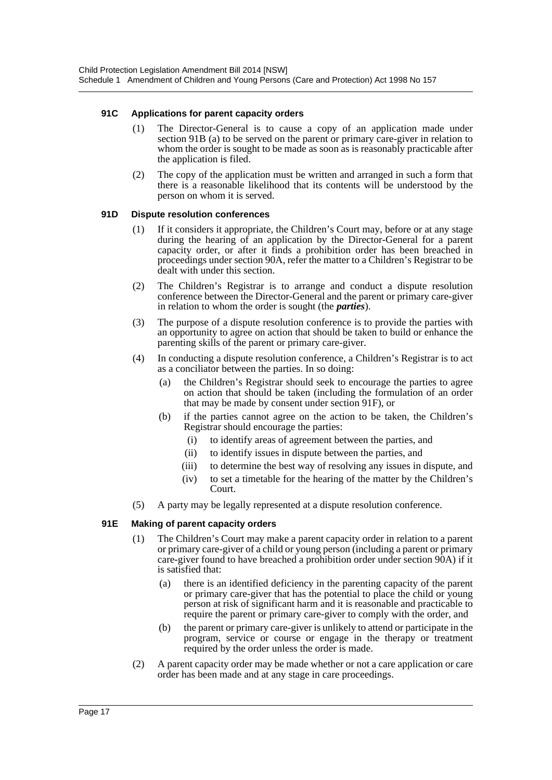#### **91C Applications for parent capacity orders**

- (1) The Director-General is to cause a copy of an application made under section 91B (a) to be served on the parent or primary care-giver in relation to whom the order is sought to be made as soon as is reasonably practicable after the application is filed.
- (2) The copy of the application must be written and arranged in such a form that there is a reasonable likelihood that its contents will be understood by the person on whom it is served.

#### **91D Dispute resolution conferences**

- (1) If it considers it appropriate, the Children's Court may, before or at any stage during the hearing of an application by the Director-General for a parent capacity order, or after it finds a prohibition order has been breached in proceedings under section 90A, refer the matter to a Children's Registrar to be dealt with under this section.
- (2) The Children's Registrar is to arrange and conduct a dispute resolution conference between the Director-General and the parent or primary care-giver in relation to whom the order is sought (the *parties*).
- (3) The purpose of a dispute resolution conference is to provide the parties with an opportunity to agree on action that should be taken to build or enhance the parenting skills of the parent or primary care-giver.
- (4) In conducting a dispute resolution conference, a Children's Registrar is to act as a conciliator between the parties. In so doing:
	- (a) the Children's Registrar should seek to encourage the parties to agree on action that should be taken (including the formulation of an order that may be made by consent under section 91F), or
	- (b) if the parties cannot agree on the action to be taken, the Children's Registrar should encourage the parties:
		- (i) to identify areas of agreement between the parties, and
		- (ii) to identify issues in dispute between the parties, and
		- (iii) to determine the best way of resolving any issues in dispute, and
		- (iv) to set a timetable for the hearing of the matter by the Children's Court.
- (5) A party may be legally represented at a dispute resolution conference.

#### **91E Making of parent capacity orders**

- (1) The Children's Court may make a parent capacity order in relation to a parent or primary care-giver of a child or young person (including a parent or primary care-giver found to have breached a prohibition order under section 90A) if it is satisfied that:
	- (a) there is an identified deficiency in the parenting capacity of the parent or primary care-giver that has the potential to place the child or young person at risk of significant harm and it is reasonable and practicable to require the parent or primary care-giver to comply with the order, and
	- (b) the parent or primary care-giver is unlikely to attend or participate in the program, service or course or engage in the therapy or treatment required by the order unless the order is made.
- (2) A parent capacity order may be made whether or not a care application or care order has been made and at any stage in care proceedings.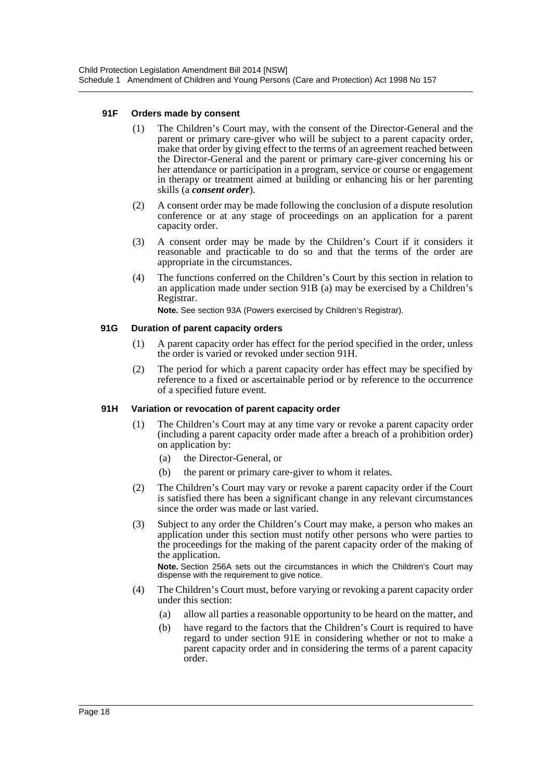#### **91F Orders made by consent**

- (1) The Children's Court may, with the consent of the Director-General and the parent or primary care-giver who will be subject to a parent capacity order, make that order by giving effect to the terms of an agreement reached between the Director-General and the parent or primary care-giver concerning his or her attendance or participation in a program, service or course or engagement in therapy or treatment aimed at building or enhancing his or her parenting skills (a *consent order*).
- (2) A consent order may be made following the conclusion of a dispute resolution conference or at any stage of proceedings on an application for a parent capacity order.
- (3) A consent order may be made by the Children's Court if it considers it reasonable and practicable to do so and that the terms of the order are appropriate in the circumstances.
- (4) The functions conferred on the Children's Court by this section in relation to an application made under section 91B (a) may be exercised by a Children's Registrar.

**Note.** See section 93A (Powers exercised by Children's Registrar).

#### **91G Duration of parent capacity orders**

- (1) A parent capacity order has effect for the period specified in the order, unless the order is varied or revoked under section 91H.
- (2) The period for which a parent capacity order has effect may be specified by reference to a fixed or ascertainable period or by reference to the occurrence of a specified future event.

#### **91H Variation or revocation of parent capacity order**

- (1) The Children's Court may at any time vary or revoke a parent capacity order (including a parent capacity order made after a breach of a prohibition order) on application by:
	- (a) the Director-General, or
	- (b) the parent or primary care-giver to whom it relates.
- (2) The Children's Court may vary or revoke a parent capacity order if the Court is satisfied there has been a significant change in any relevant circumstances since the order was made or last varied.
- (3) Subject to any order the Children's Court may make, a person who makes an application under this section must notify other persons who were parties to the proceedings for the making of the parent capacity order of the making of the application.

**Note.** Section 256A sets out the circumstances in which the Children's Court may dispense with the requirement to give notice.

- (4) The Children's Court must, before varying or revoking a parent capacity order under this section:
	- (a) allow all parties a reasonable opportunity to be heard on the matter, and
	- (b) have regard to the factors that the Children's Court is required to have regard to under section 91E in considering whether or not to make a parent capacity order and in considering the terms of a parent capacity order.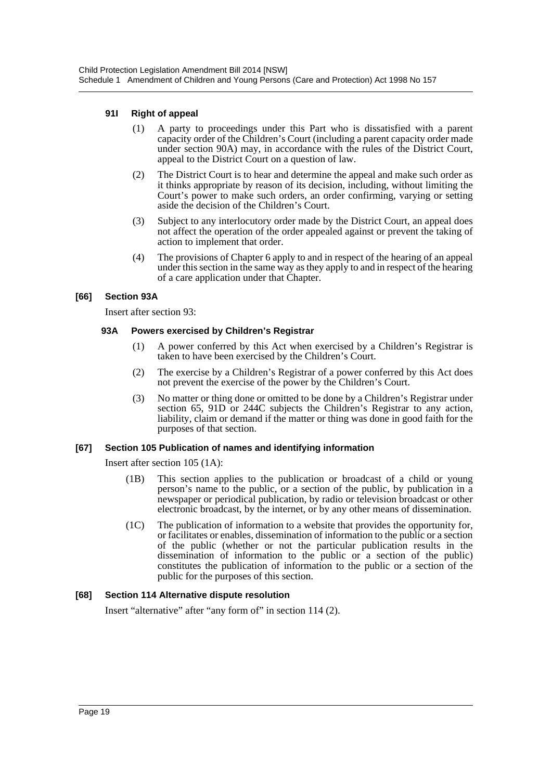#### **91I Right of appeal**

- (1) A party to proceedings under this Part who is dissatisfied with a parent capacity order of the Children's Court (including a parent capacity order made under section 90A) may, in accordance with the rules of the District Court, appeal to the District Court on a question of law.
- (2) The District Court is to hear and determine the appeal and make such order as it thinks appropriate by reason of its decision, including, without limiting the Court's power to make such orders, an order confirming, varying or setting aside the decision of the Children's Court.
- (3) Subject to any interlocutory order made by the District Court, an appeal does not affect the operation of the order appealed against or prevent the taking of action to implement that order.
- (4) The provisions of Chapter 6 apply to and in respect of the hearing of an appeal under this section in the same way as they apply to and in respect of the hearing of a care application under that Chapter.

#### **[66] Section 93A**

Insert after section 93:

#### **93A Powers exercised by Children's Registrar**

- (1) A power conferred by this Act when exercised by a Children's Registrar is taken to have been exercised by the Children's Court.
- (2) The exercise by a Children's Registrar of a power conferred by this Act does not prevent the exercise of the power by the Children's Court.
- (3) No matter or thing done or omitted to be done by a Children's Registrar under section 65, 91D or 244C subjects the Children's Registrar to any action, liability, claim or demand if the matter or thing was done in good faith for the purposes of that section.

# **[67] Section 105 Publication of names and identifying information**

Insert after section 105 (1A):

- (1B) This section applies to the publication or broadcast of a child or young person's name to the public, or a section of the public, by publication in a newspaper or periodical publication, by radio or television broadcast or other electronic broadcast, by the internet, or by any other means of dissemination.
- (1C) The publication of information to a website that provides the opportunity for, or facilitates or enables, dissemination of information to the public or a section of the public (whether or not the particular publication results in the dissemination of information to the public or a section of the public) constitutes the publication of information to the public or a section of the public for the purposes of this section.

# **[68] Section 114 Alternative dispute resolution**

Insert "alternative" after "any form of" in section 114 (2).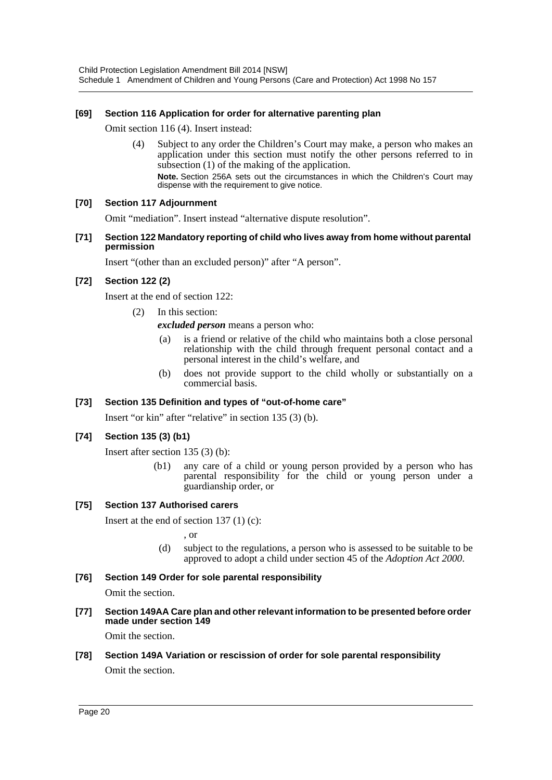### **[69] Section 116 Application for order for alternative parenting plan**

Omit section 116 (4). Insert instead:

(4) Subject to any order the Children's Court may make, a person who makes an application under this section must notify the other persons referred to in subsection (1) of the making of the application. **Note.** Section 256A sets out the circumstances in which the Children's Court may dispense with the requirement to give notice.

#### **[70] Section 117 Adjournment**

Omit "mediation". Insert instead "alternative dispute resolution".

**[71] Section 122 Mandatory reporting of child who lives away from home without parental permission**

Insert "(other than an excluded person)" after "A person".

#### **[72] Section 122 (2)**

Insert at the end of section 122:

(2) In this section:

*excluded person* means a person who:

- (a) is a friend or relative of the child who maintains both a close personal relationship with the child through frequent personal contact and a personal interest in the child's welfare, and
- (b) does not provide support to the child wholly or substantially on a commercial basis.

#### **[73] Section 135 Definition and types of "out-of-home care"**

Insert "or kin" after "relative" in section 135 (3) (b).

#### **[74] Section 135 (3) (b1)**

Insert after section 135 (3) (b):

(b1) any care of a child or young person provided by a person who has parental responsibility for the child or young person under a guardianship order, or

#### **[75] Section 137 Authorised carers**

Insert at the end of section  $137(1)(c)$ :

, or

- (d) subject to the regulations, a person who is assessed to be suitable to be approved to adopt a child under section 45 of the *Adoption Act 2000*.
- **[76] Section 149 Order for sole parental responsibility** Omit the section.
- **[77] Section 149AA Care plan and other relevant information to be presented before order made under section 149**

Omit the section.

# **[78] Section 149A Variation or rescission of order for sole parental responsibility** Omit the section.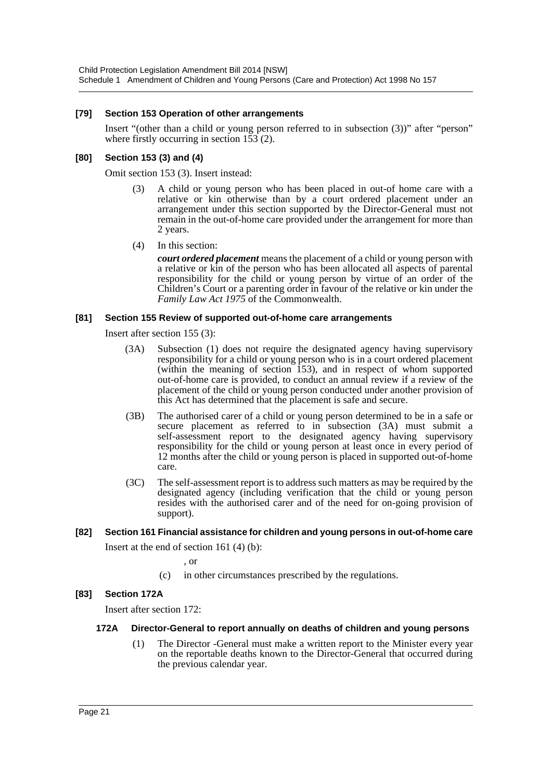#### **[79] Section 153 Operation of other arrangements**

Insert "(other than a child or young person referred to in subsection (3))" after "person" where firstly occurring in section 153 (2).

#### **[80] Section 153 (3) and (4)**

Omit section 153 (3). Insert instead:

- (3) A child or young person who has been placed in out-of home care with a relative or kin otherwise than by a court ordered placement under an arrangement under this section supported by the Director-General must not remain in the out-of-home care provided under the arrangement for more than 2 years.
- (4) In this section:

*court ordered placement* means the placement of a child or young person with a relative or kin of the person who has been allocated all aspects of parental responsibility for the child or young person by virtue of an order of the Children's Court or a parenting order in favour of the relative or kin under the *Family Law Act 1975* of the Commonwealth.

#### **[81] Section 155 Review of supported out-of-home care arrangements**

Insert after section 155 (3):

- (3A) Subsection (1) does not require the designated agency having supervisory responsibility for a child or young person who is in a court ordered placement (within the meaning of section 153), and in respect of whom supported out-of-home care is provided, to conduct an annual review if a review of the placement of the child or young person conducted under another provision of this Act has determined that the placement is safe and secure.
- (3B) The authorised carer of a child or young person determined to be in a safe or secure placement as referred to in subsection (3A) must submit a self-assessment report to the designated agency having supervisory responsibility for the child or young person at least once in every period of 12 months after the child or young person is placed in supported out-of-home care.
- (3C) The self-assessment report is to address such matters as may be required by the designated agency (including verification that the child or young person resides with the authorised carer and of the need for on-going provision of support).

# **[82] Section 161 Financial assistance for children and young persons in out-of-home care**

Insert at the end of section 161 (4) (b):

, or

(c) in other circumstances prescribed by the regulations.

#### **[83] Section 172A**

Insert after section 172:

#### **172A Director-General to report annually on deaths of children and young persons**

(1) The Director -General must make a written report to the Minister every year on the reportable deaths known to the Director-General that occurred during the previous calendar year.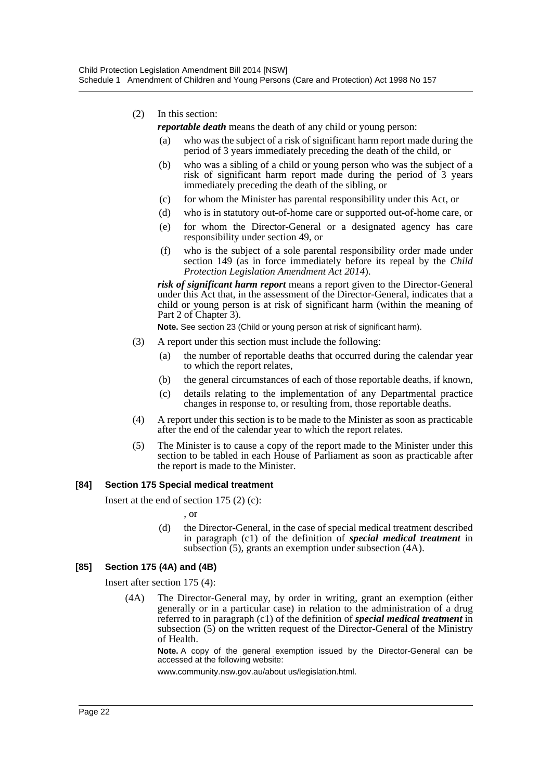- (2) In this section:
	- *reportable death* means the death of any child or young person:
	- (a) who was the subject of a risk of significant harm report made during the period of 3 years immediately preceding the death of the child, or
	- (b) who was a sibling of a child or young person who was the subject of a risk of significant harm report made during the period of 3 years immediately preceding the death of the sibling, or
	- (c) for whom the Minister has parental responsibility under this Act, or
	- (d) who is in statutory out-of-home care or supported out-of-home care, or
	- (e) for whom the Director-General or a designated agency has care responsibility under section 49, or
	- (f) who is the subject of a sole parental responsibility order made under section 149 (as in force immediately before its repeal by the *Child Protection Legislation Amendment Act 2014*).

*risk of significant harm report* means a report given to the Director-General under this Act that, in the assessment of the Director-General, indicates that a child or young person is at risk of significant harm (within the meaning of Part 2 of Chapter 3).

**Note.** See section 23 (Child or young person at risk of significant harm).

- (3) A report under this section must include the following:
	- (a) the number of reportable deaths that occurred during the calendar year to which the report relates,
	- (b) the general circumstances of each of those reportable deaths, if known,
	- (c) details relating to the implementation of any Departmental practice changes in response to, or resulting from, those reportable deaths.
- (4) A report under this section is to be made to the Minister as soon as practicable after the end of the calendar year to which the report relates.
- (5) The Minister is to cause a copy of the report made to the Minister under this section to be tabled in each House of Parliament as soon as practicable after the report is made to the Minister.

#### **[84] Section 175 Special medical treatment**

Insert at the end of section 175 (2) (c):

, or

(d) the Director-General, in the case of special medical treatment described in paragraph (c1) of the definition of *special medical treatment* in subsection (5), grants an exemption under subsection (4A).

#### **[85] Section 175 (4A) and (4B)**

Insert after section 175 (4):

(4A) The Director-General may, by order in writing, grant an exemption (either generally or in a particular case) in relation to the administration of a drug referred to in paragraph (c1) of the definition of *special medical treatment* in subsection (5) on the written request of the Director-General of the Ministry of Health.

**Note.** A copy of the general exemption issued by the Director-General can be accessed at the following website:

www.community.nsw.gov.au/about us/legislation.html.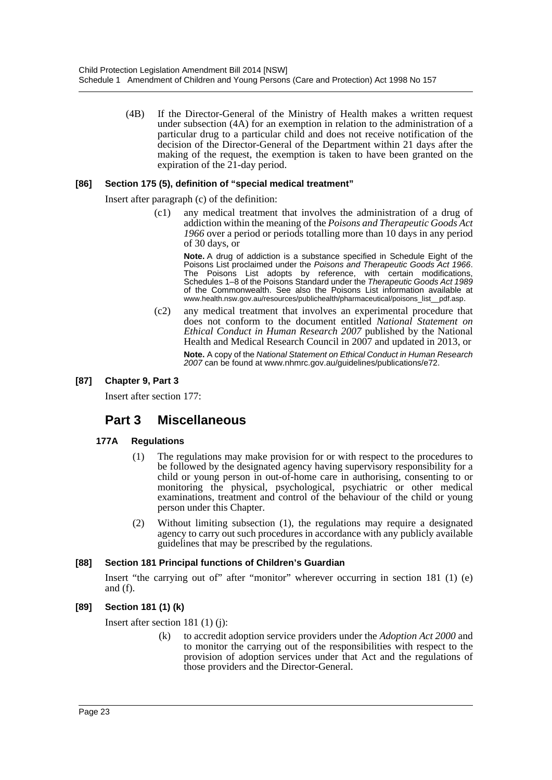(4B) If the Director-General of the Ministry of Health makes a written request under subsection (4A) for an exemption in relation to the administration of a particular drug to a particular child and does not receive notification of the decision of the Director-General of the Department within 21 days after the making of the request, the exemption is taken to have been granted on the expiration of the 21-day period.

#### **[86] Section 175 (5), definition of "special medical treatment"**

Insert after paragraph (c) of the definition:

(c1) any medical treatment that involves the administration of a drug of addiction within the meaning of the *Poisons and Therapeutic Goods Act 1966* over a period or periods totalling more than 10 days in any period of 30 days, or

**Note.** A drug of addiction is a substance specified in Schedule Eight of the Poisons List proclaimed under the *Poisons and Therapeutic Goods Act 1966*. The Poisons List adopts by reference, with certain modifications, Schedules 1–8 of the Poisons Standard under the *Therapeutic Goods Act 1989* of the Commonwealth. See also the Poisons List information available at www.health.nsw.gov.au/resources/publichealth/pharmaceutical/poisons\_list\_\_pdf.asp.

(c2) any medical treatment that involves an experimental procedure that does not conform to the document entitled *National Statement on Ethical Conduct in Human Research 2007* published by the National Health and Medical Research Council in 2007 and updated in 2013, or

**Note.** A copy of the *National Statement on Ethical Conduct in Human Research 2007* can be found at www.nhmrc.gov.au/guidelines/publications/e72.

#### **[87] Chapter 9, Part 3**

Insert after section 177:

# **Part 3 Miscellaneous**

#### **177A Regulations**

- (1) The regulations may make provision for or with respect to the procedures to be followed by the designated agency having supervisory responsibility for a child or young person in out-of-home care in authorising, consenting to or monitoring the physical, psychological, psychiatric or other medical examinations, treatment and control of the behaviour of the child or young person under this Chapter.
- (2) Without limiting subsection (1), the regulations may require a designated agency to carry out such procedures in accordance with any publicly available guidelines that may be prescribed by the regulations.

#### **[88] Section 181 Principal functions of Children's Guardian**

Insert "the carrying out of" after "monitor" wherever occurring in section 181 (1) (e) and (f).

#### **[89] Section 181 (1) (k)**

Insert after section 181 (1) (j):

(k) to accredit adoption service providers under the *Adoption Act 2000* and to monitor the carrying out of the responsibilities with respect to the provision of adoption services under that Act and the regulations of those providers and the Director-General.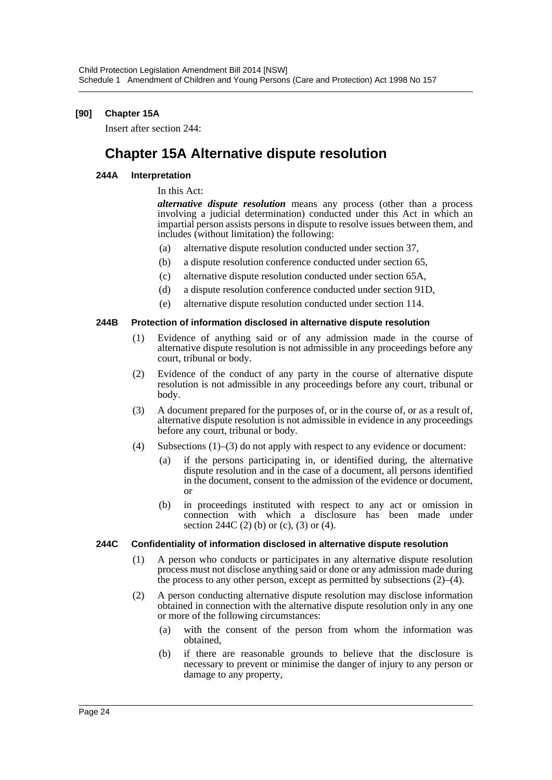### **[90] Chapter 15A**

Insert after section 244:

# **Chapter 15A Alternative dispute resolution**

#### **244A Interpretation**

### In this Act:

*alternative dispute resolution* means any process (other than a process involving a judicial determination) conducted under this Act in which an impartial person assists persons in dispute to resolve issues between them, and includes (without limitation) the following:

- (a) alternative dispute resolution conducted under section 37,
- (b) a dispute resolution conference conducted under section 65,
- (c) alternative dispute resolution conducted under section 65A,
- (d) a dispute resolution conference conducted under section 91D,
- (e) alternative dispute resolution conducted under section 114.

#### **244B Protection of information disclosed in alternative dispute resolution**

- (1) Evidence of anything said or of any admission made in the course of alternative dispute resolution is not admissible in any proceedings before any court, tribunal or body.
- (2) Evidence of the conduct of any party in the course of alternative dispute resolution is not admissible in any proceedings before any court, tribunal or body.
- (3) A document prepared for the purposes of, or in the course of, or as a result of, alternative dispute resolution is not admissible in evidence in any proceedings before any court, tribunal or body.
- (4) Subsections (1)–(3) do not apply with respect to any evidence or document:
	- (a) if the persons participating in, or identified during, the alternative dispute resolution and in the case of a document, all persons identified in the document, consent to the admission of the evidence or document, or
	- (b) in proceedings instituted with respect to any act or omission in connection with which a disclosure has been made under section 244C (2) (b) or (c), (3) or (4).

#### **244C Confidentiality of information disclosed in alternative dispute resolution**

- (1) A person who conducts or participates in any alternative dispute resolution process must not disclose anything said or done or any admission made during the process to any other person, except as permitted by subsections (2)–(4).
- (2) A person conducting alternative dispute resolution may disclose information obtained in connection with the alternative dispute resolution only in any one or more of the following circumstances:
	- (a) with the consent of the person from whom the information was obtained,
	- (b) if there are reasonable grounds to believe that the disclosure is necessary to prevent or minimise the danger of injury to any person or damage to any property,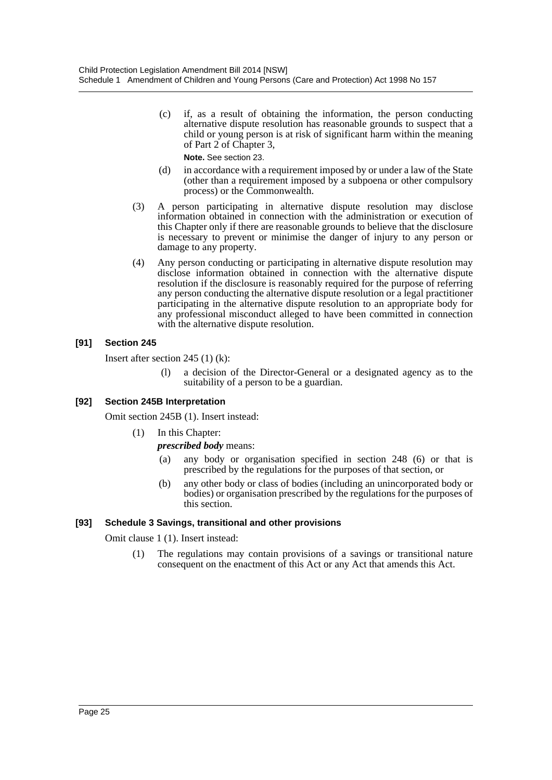(c) if, as a result of obtaining the information, the person conducting alternative dispute resolution has reasonable grounds to suspect that a child or young person is at risk of significant harm within the meaning of Part 2 of Chapter 3,

**Note.** See section 23.

- (d) in accordance with a requirement imposed by or under a law of the State (other than a requirement imposed by a subpoena or other compulsory process) or the Commonwealth.
- (3) A person participating in alternative dispute resolution may disclose information obtained in connection with the administration or execution of this Chapter only if there are reasonable grounds to believe that the disclosure is necessary to prevent or minimise the danger of injury to any person or damage to any property.
- (4) Any person conducting or participating in alternative dispute resolution may disclose information obtained in connection with the alternative dispute resolution if the disclosure is reasonably required for the purpose of referring any person conducting the alternative dispute resolution or a legal practitioner participating in the alternative dispute resolution to an appropriate body for any professional misconduct alleged to have been committed in connection with the alternative dispute resolution.

# **[91] Section 245**

Insert after section 245 (1) (k):

(l) a decision of the Director-General or a designated agency as to the suitability of a person to be a guardian.

# **[92] Section 245B Interpretation**

Omit section 245B (1). Insert instead:

(1) In this Chapter:

# *prescribed body* means:

- (a) any body or organisation specified in section 248 (6) or that is prescribed by the regulations for the purposes of that section, or
- (b) any other body or class of bodies (including an unincorporated body or bodies) or organisation prescribed by the regulations for the purposes of this section.

#### **[93] Schedule 3 Savings, transitional and other provisions**

Omit clause 1 (1). Insert instead:

(1) The regulations may contain provisions of a savings or transitional nature consequent on the enactment of this Act or any Act that amends this Act.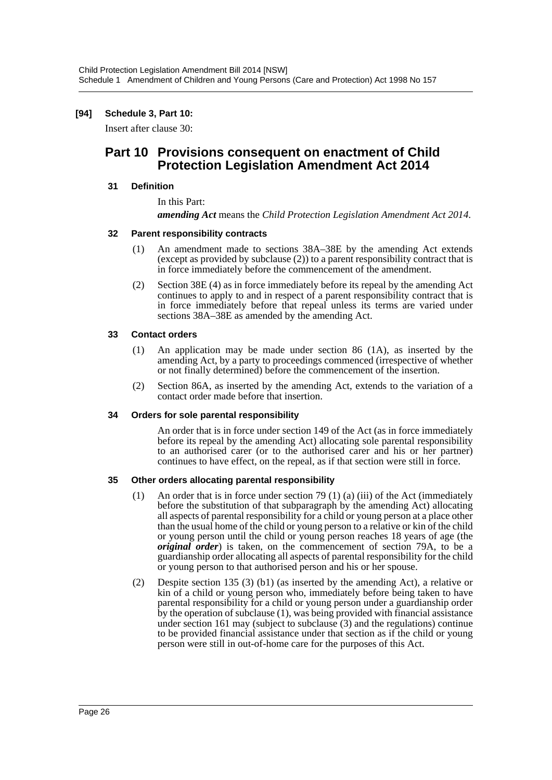#### **[94] Schedule 3, Part 10:**

Insert after clause 30:

# **Part 10 Provisions consequent on enactment of Child Protection Legislation Amendment Act 2014**

#### **31 Definition**

In this Part:

*amending Act* means the *Child Protection Legislation Amendment Act 2014*.

#### **32 Parent responsibility contracts**

- (1) An amendment made to sections 38A–38E by the amending Act extends (except as provided by subclause (2)) to a parent responsibility contract that is in force immediately before the commencement of the amendment.
- (2) Section 38E (4) as in force immediately before its repeal by the amending Act continues to apply to and in respect of a parent responsibility contract that is in force immediately before that repeal unless its terms are varied under sections 38A–38E as amended by the amending Act.

#### **33 Contact orders**

- (1) An application may be made under section 86 (1A), as inserted by the amending Act, by a party to proceedings commenced (irrespective of whether or not finally determined) before the commencement of the insertion.
- (2) Section 86A, as inserted by the amending Act, extends to the variation of a contact order made before that insertion.

#### **34 Orders for sole parental responsibility**

An order that is in force under section 149 of the Act (as in force immediately before its repeal by the amending Act) allocating sole parental responsibility to an authorised carer (or to the authorised carer and his or her partner) continues to have effect, on the repeal, as if that section were still in force.

#### **35 Other orders allocating parental responsibility**

- (1) An order that is in force under section 79 (1) (a) (iii) of the Act (immediately before the substitution of that subparagraph by the amending Act) allocating all aspects of parental responsibility for a child or young person at a place other than the usual home of the child or young person to a relative or kin of the child or young person until the child or young person reaches 18 years of age (the *original order*) is taken, on the commencement of section 79A, to be a guardianship order allocating all aspects of parental responsibility for the child or young person to that authorised person and his or her spouse.
- (2) Despite section 135 (3) (b1) (as inserted by the amending Act), a relative or kin of a child or young person who, immediately before being taken to have parental responsibility for a child or young person under a guardianship order by the operation of subclause (1), was being provided with financial assistance under section 161 may (subject to subclause (3) and the regulations) continue to be provided financial assistance under that section as if the child or young person were still in out-of-home care for the purposes of this Act.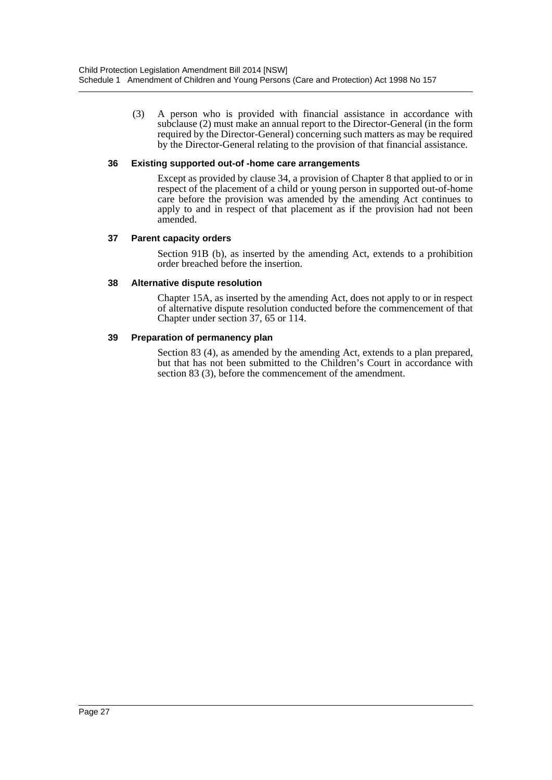(3) A person who is provided with financial assistance in accordance with subclause (2) must make an annual report to the Director-General (in the form required by the Director-General) concerning such matters as may be required by the Director-General relating to the provision of that financial assistance.

#### **36 Existing supported out-of -home care arrangements**

Except as provided by clause 34, a provision of Chapter 8 that applied to or in respect of the placement of a child or young person in supported out-of-home care before the provision was amended by the amending Act continues to apply to and in respect of that placement as if the provision had not been amended.

#### **37 Parent capacity orders**

Section 91B (b), as inserted by the amending Act, extends to a prohibition order breached before the insertion.

#### **38 Alternative dispute resolution**

Chapter 15A, as inserted by the amending Act, does not apply to or in respect of alternative dispute resolution conducted before the commencement of that Chapter under section 37, 65 or 114.

#### **39 Preparation of permanency plan**

Section 83 (4), as amended by the amending Act, extends to a plan prepared, but that has not been submitted to the Children's Court in accordance with section 83 (3), before the commencement of the amendment.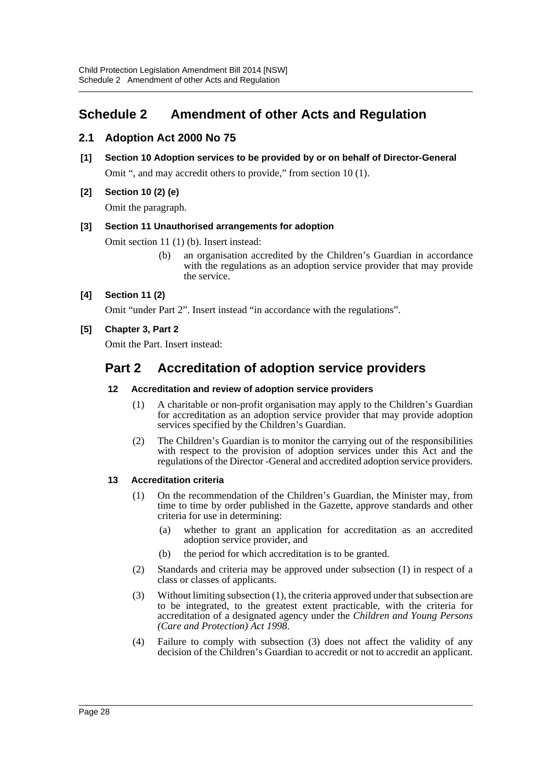# <span id="page-28-0"></span>**Schedule 2 Amendment of other Acts and Regulation**

# **2.1 Adoption Act 2000 No 75**

- **[1] Section 10 Adoption services to be provided by or on behalf of Director-General** Omit ", and may accredit others to provide," from section 10 (1).
- **[2] Section 10 (2) (e)**

Omit the paragraph.

# **[3] Section 11 Unauthorised arrangements for adoption**

Omit section 11 (1) (b). Insert instead:

(b) an organisation accredited by the Children's Guardian in accordance with the regulations as an adoption service provider that may provide the service.

# **[4] Section 11 (2)**

Omit "under Part 2". Insert instead "in accordance with the regulations".

# **[5] Chapter 3, Part 2**

Omit the Part. Insert instead:

# **Part 2 Accreditation of adoption service providers**

### **12 Accreditation and review of adoption service providers**

- (1) A charitable or non-profit organisation may apply to the Children's Guardian for accreditation as an adoption service provider that may provide adoption services specified by the Children's Guardian.
- (2) The Children's Guardian is to monitor the carrying out of the responsibilities with respect to the provision of adoption services under this Act and the regulations of the Director -General and accredited adoption service providers.

# **13 Accreditation criteria**

- (1) On the recommendation of the Children's Guardian, the Minister may, from time to time by order published in the Gazette, approve standards and other criteria for use in determining:
	- (a) whether to grant an application for accreditation as an accredited adoption service provider, and
	- (b) the period for which accreditation is to be granted.
- (2) Standards and criteria may be approved under subsection (1) in respect of a class or classes of applicants.
- (3) Without limiting subsection (1), the criteria approved under that subsection are to be integrated, to the greatest extent practicable, with the criteria for accreditation of a designated agency under the *Children and Young Persons (Care and Protection) Act 1998*.
- (4) Failure to comply with subsection (3) does not affect the validity of any decision of the Children's Guardian to accredit or not to accredit an applicant.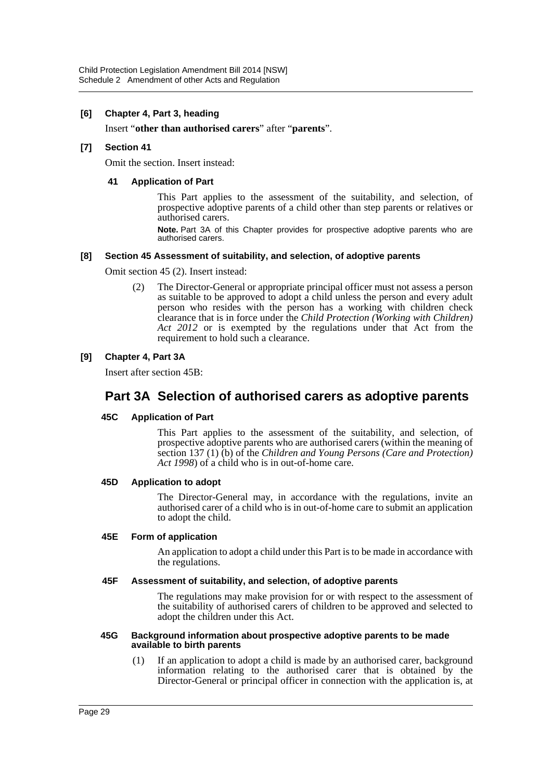#### **[6] Chapter 4, Part 3, heading**

Insert "**other than authorised carers**" after "**parents**".

#### **[7] Section 41**

Omit the section. Insert instead:

#### **41 Application of Part**

This Part applies to the assessment of the suitability, and selection, of prospective adoptive parents of a child other than step parents or relatives or authorised carers.

**Note.** Part 3A of this Chapter provides for prospective adoptive parents who are authorised carers.

#### **[8] Section 45 Assessment of suitability, and selection, of adoptive parents**

Omit section 45 (2). Insert instead:

(2) The Director-General or appropriate principal officer must not assess a person as suitable to be approved to adopt a child unless the person and every adult person who resides with the person has a working with children check clearance that is in force under the *Child Protection (Working with Children) Act 2012* or is exempted by the regulations under that Act from the requirement to hold such a clearance.

#### **[9] Chapter 4, Part 3A**

Insert after section 45B:

# **Part 3A Selection of authorised carers as adoptive parents**

#### **45C Application of Part**

This Part applies to the assessment of the suitability, and selection, of prospective adoptive parents who are authorised carers (within the meaning of section 137 (1) (b) of the *Children and Young Persons (Care and Protection) Act 1998*) of a child who is in out-of-home care.

#### **45D Application to adopt**

The Director-General may, in accordance with the regulations, invite an authorised carer of a child who is in out-of-home care to submit an application to adopt the child.

#### **45E Form of application**

An application to adopt a child under this Part is to be made in accordance with the regulations.

#### **45F Assessment of suitability, and selection, of adoptive parents**

The regulations may make provision for or with respect to the assessment of the suitability of authorised carers of children to be approved and selected to adopt the children under this Act.

#### **45G Background information about prospective adoptive parents to be made available to birth parents**

(1) If an application to adopt a child is made by an authorised carer, background information relating to the authorised carer that is obtained by the Director-General or principal officer in connection with the application is, at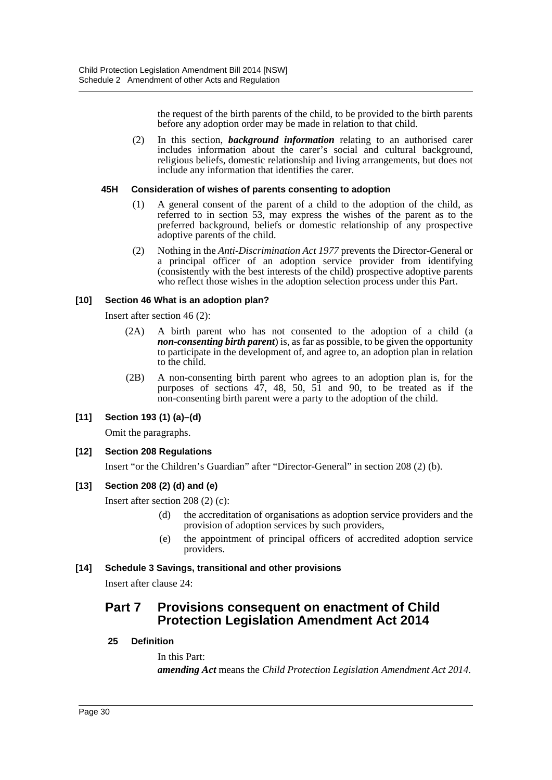the request of the birth parents of the child, to be provided to the birth parents before any adoption order may be made in relation to that child.

(2) In this section, *background information* relating to an authorised carer includes information about the carer's social and cultural background, religious beliefs, domestic relationship and living arrangements, but does not include any information that identifies the carer.

#### **45H Consideration of wishes of parents consenting to adoption**

- (1) A general consent of the parent of a child to the adoption of the child, as referred to in section 53, may express the wishes of the parent as to the preferred background, beliefs or domestic relationship of any prospective adoptive parents of the child.
- (2) Nothing in the *Anti-Discrimination Act 1977* prevents the Director-General or a principal officer of an adoption service provider from identifying (consistently with the best interests of the child) prospective adoptive parents who reflect those wishes in the adoption selection process under this Part.

#### **[10] Section 46 What is an adoption plan?**

Insert after section 46 (2):

- (2A) A birth parent who has not consented to the adoption of a child (a *non-consenting birth parent*) is, as far as possible, to be given the opportunity to participate in the development of, and agree to, an adoption plan in relation to the child.
- (2B) A non-consenting birth parent who agrees to an adoption plan is, for the purposes of sections 47, 48, 50, 51 and 90, to be treated as if the non-consenting birth parent were a party to the adoption of the child.

#### **[11] Section 193 (1) (a)–(d)**

Omit the paragraphs.

# **[12] Section 208 Regulations**

Insert "or the Children's Guardian" after "Director-General" in section 208 (2) (b).

#### **[13] Section 208 (2) (d) and (e)**

Insert after section 208 (2) (c):

- (d) the accreditation of organisations as adoption service providers and the provision of adoption services by such providers,
- (e) the appointment of principal officers of accredited adoption service providers.

#### **[14] Schedule 3 Savings, transitional and other provisions**

Insert after clause 24:

# **Part 7 Provisions consequent on enactment of Child Protection Legislation Amendment Act 2014**

#### **25 Definition**

In this Part: *amending Act* means the *Child Protection Legislation Amendment Act 2014*.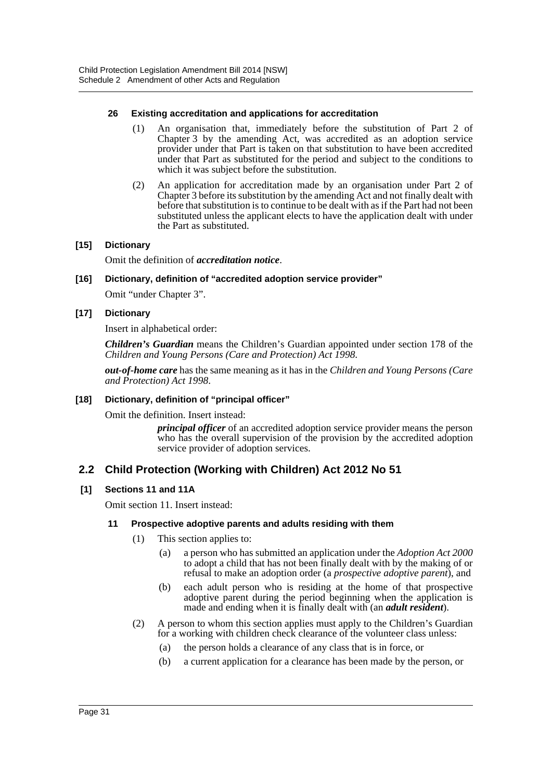#### **26 Existing accreditation and applications for accreditation**

- (1) An organisation that, immediately before the substitution of Part 2 of Chapter 3 by the amending Act, was accredited as an adoption service provider under that Part is taken on that substitution to have been accredited under that Part as substituted for the period and subject to the conditions to which it was subject before the substitution.
- (2) An application for accreditation made by an organisation under Part 2 of Chapter 3 before its substitution by the amending Act and not finally dealt with before that substitution is to continue to be dealt with as if the Part had not been substituted unless the applicant elects to have the application dealt with under the Part as substituted.

#### **[15] Dictionary**

Omit the definition of *accreditation notice*.

#### **[16] Dictionary, definition of "accredited adoption service provider"**

Omit "under Chapter 3".

#### **[17] Dictionary**

Insert in alphabetical order:

*Children's Guardian* means the Children's Guardian appointed under section 178 of the *Children and Young Persons (Care and Protection) Act 1998*.

*out-of-home care* has the same meaning as it has in the *Children and Young Persons (Care and Protection) Act 1998*.

#### **[18] Dictionary, definition of "principal officer"**

Omit the definition. Insert instead:

*principal officer* of an accredited adoption service provider means the person who has the overall supervision of the provision by the accredited adoption service provider of adoption services.

# **2.2 Child Protection (Working with Children) Act 2012 No 51**

#### **[1] Sections 11 and 11A**

Omit section 11. Insert instead:

#### **11 Prospective adoptive parents and adults residing with them**

- (1) This section applies to:
	- (a) a person who has submitted an application under the *Adoption Act 2000* to adopt a child that has not been finally dealt with by the making of or refusal to make an adoption order (a *prospective adoptive parent*), and
	- (b) each adult person who is residing at the home of that prospective adoptive parent during the period beginning when the application is made and ending when it is finally dealt with (an *adult resident*).
- (2) A person to whom this section applies must apply to the Children's Guardian for a working with children check clearance of the volunteer class unless:
	- (a) the person holds a clearance of any class that is in force, or
	- (b) a current application for a clearance has been made by the person, or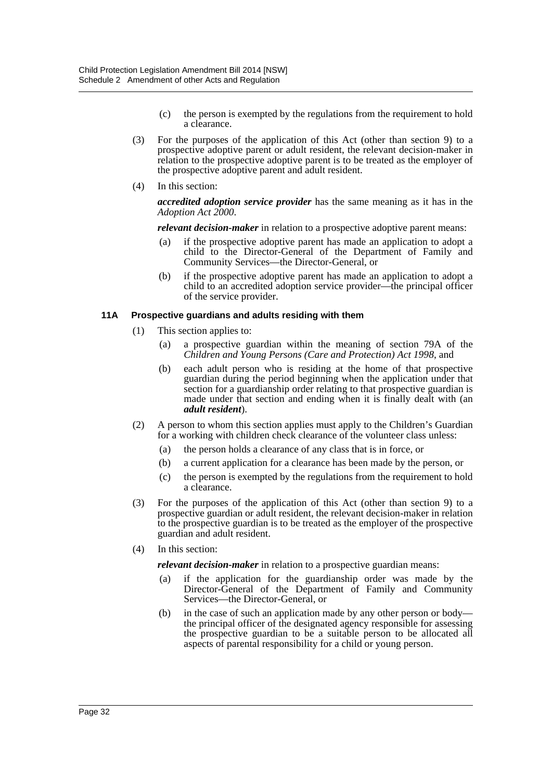- (c) the person is exempted by the regulations from the requirement to hold a clearance.
- (3) For the purposes of the application of this Act (other than section 9) to a prospective adoptive parent or adult resident, the relevant decision-maker in relation to the prospective adoptive parent is to be treated as the employer of the prospective adoptive parent and adult resident.
- (4) In this section:

*accredited adoption service provider* has the same meaning as it has in the *Adoption Act 2000*.

*relevant decision-maker* in relation to a prospective adoptive parent means:

- (a) if the prospective adoptive parent has made an application to adopt a child to the Director-General of the Department of Family and Community Services—the Director-General, or
- (b) if the prospective adoptive parent has made an application to adopt a child to an accredited adoption service provider—the principal officer of the service provider.

#### **11A Prospective guardians and adults residing with them**

- (1) This section applies to:
	- (a) a prospective guardian within the meaning of section 79A of the *Children and Young Persons (Care and Protection) Act 1998*, and
	- (b) each adult person who is residing at the home of that prospective guardian during the period beginning when the application under that section for a guardianship order relating to that prospective guardian is made under that section and ending when it is finally dealt with (an *adult resident*).
- (2) A person to whom this section applies must apply to the Children's Guardian for a working with children check clearance of the volunteer class unless:
	- (a) the person holds a clearance of any class that is in force, or
	- (b) a current application for a clearance has been made by the person, or
	- (c) the person is exempted by the regulations from the requirement to hold a clearance.
- (3) For the purposes of the application of this Act (other than section 9) to a prospective guardian or adult resident, the relevant decision-maker in relation to the prospective guardian is to be treated as the employer of the prospective guardian and adult resident.
- (4) In this section:

*relevant decision-maker* in relation to a prospective guardian means:

- (a) if the application for the guardianship order was made by the Director-General of the Department of Family and Community Services—the Director-General, or
- (b) in the case of such an application made by any other person or body the principal officer of the designated agency responsible for assessing the prospective guardian to be a suitable person to be allocated all aspects of parental responsibility for a child or young person.